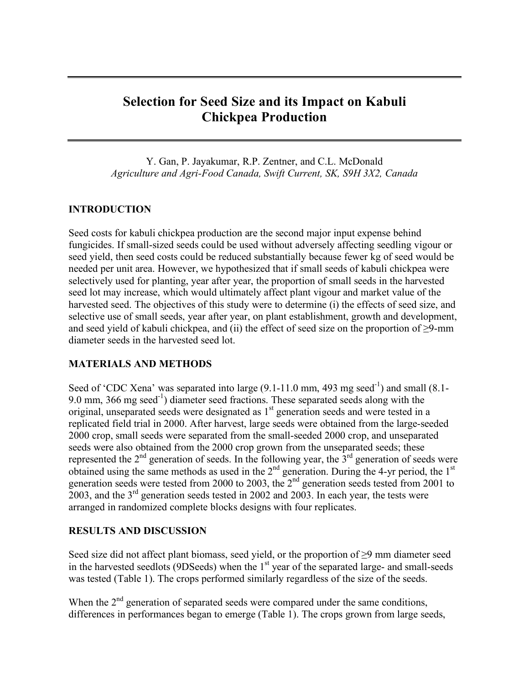# **Selection for Seed Size and its Impact on Kabuli Chickpea Production**

Y. Gan, P. Jayakumar, R.P. Zentner, and C.L. McDonald *Agriculture and Agri-Food Canada, Swift Current, SK, S9H 3X2, Canada*

### **INTRODUCTION**

Seed costs for kabuli chickpea production are the second major input expense behind fungicides. If small-sized seeds could be used without adversely affecting seedling vigour or seed yield, then seed costs could be reduced substantially because fewer kg of seed would be needed per unit area. However, we hypothesized that if small seeds of kabuli chickpea were selectively used for planting, year after year, the proportion of small seeds in the harvested seed lot may increase, which would ultimately affect plant vigour and market value of the harvested seed. The objectives of this study were to determine (i) the effects of seed size, and selective use of small seeds, year after year, on plant establishment, growth and development, and seed yield of kabuli chickpea, and (ii) the effect of seed size on the proportion of  $\geq$ 9-mm diameter seeds in the harvested seed lot.

#### **MATERIALS AND METHODS**

Seed of 'CDC Xena' was separated into large  $(9.1-11.0 \text{ mm}, 493 \text{ mg} \text{ seed}^{-1})$  and small  $(8.1-$ 9.0 mm, 366 mg seed<sup>-1</sup>) diameter seed fractions. These separated seeds along with the original, unseparated seeds were designated as 1<sup>st</sup> generation seeds and were tested in a replicated field trial in 2000. After harvest, large seeds were obtained from the large-seeded 2000 crop, small seeds were separated from the small-seeded 2000 crop, and unseparated seeds were also obtained from the 2000 crop grown from the unseparated seeds; these represented the  $2<sup>nd</sup>$  generation of seeds. In the following year, the  $3<sup>rd</sup>$  generation of seeds were obtained using the same methods as used in the  $2<sup>nd</sup>$  generation. During the 4-yr period, the  $1<sup>st</sup>$ generation seeds were tested from 2000 to 2003, the  $2<sup>nd</sup>$  generation seeds tested from 2001 to 2003, and the 3<sup>rd</sup> generation seeds tested in 2002 and 2003. In each year, the tests were arranged in randomized complete blocks designs with four replicates.

#### **RESULTS AND DISCUSSION**

Seed size did not affect plant biomass, seed yield, or the proportion of ≥9 mm diameter seed in the harvested seedlots (9DSeeds) when the 1<sup>st</sup> year of the separated large- and small-seeds was tested (Table 1). The crops performed similarly regardless of the size of the seeds.

When the  $2<sup>nd</sup>$  generation of separated seeds were compared under the same conditions, differences in performances began to emerge (Table 1). The crops grown from large seeds,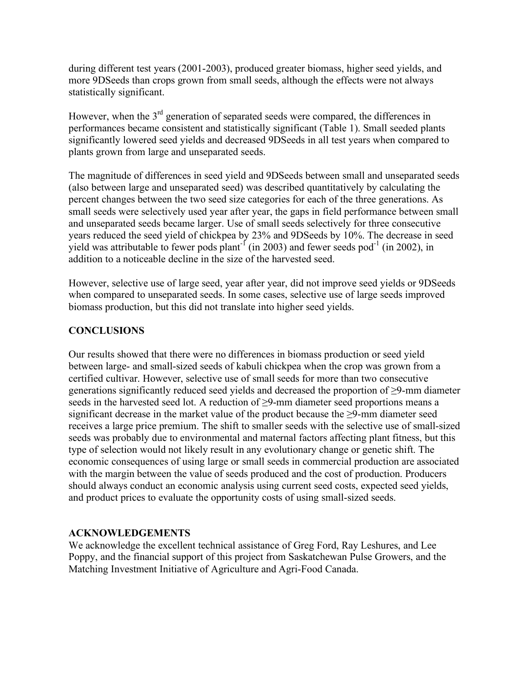during different test years (2001-2003), produced greater biomass, higher seed yields, and more 9DSeeds than crops grown from small seeds, although the effects were not always statistically significant.

However, when the 3<sup>rd</sup> generation of separated seeds were compared, the differences in performances became consistent and statistically significant (Table 1). Small seeded plants significantly lowered seed yields and decreased 9DSeeds in all test years when compared to plants grown from large and unseparated seeds.

The magnitude of differences in seed yield and 9DSeeds between small and unseparated seeds (also between large and unseparated seed) was described quantitatively by calculating the percent changes between the two seed size categories for each of the three generations. As small seeds were selectively used year after year, the gaps in field performance between small and unseparated seeds became larger. Use of small seeds selectively for three consecutive years reduced the seed yield of chickpea by 23% and 9DSeeds by 10%. The decrease in seed yield was attributable to fewer pods plant<sup>-1</sup> (in 2003) and fewer seeds pod<sup>-1</sup> (in 2002), in addition to a noticeable decline in the size of the harvested seed.

However, selective use of large seed, year after year, did not improve seed yields or 9DSeeds when compared to unseparated seeds. In some cases, selective use of large seeds improved biomass production, but this did not translate into higher seed yields.

## **CONCLUSIONS**

Our results showed that there were no differences in biomass production or seed yield between large- and small-sized seeds of kabuli chickpea when the crop was grown from a certified cultivar. However, selective use of small seeds for more than two consecutive generations significantly reduced seed yields and decreased the proportion of ≥9-mm diameter seeds in the harvested seed lot. A reduction of ≥9-mm diameter seed proportions means a significant decrease in the market value of the product because the ≥9-mm diameter seed receives a large price premium. The shift to smaller seeds with the selective use of small-sized seeds was probably due to environmental and maternal factors affecting plant fitness, but this type of selection would not likely result in any evolutionary change or genetic shift. The economic consequences of using large or small seeds in commercial production are associated with the margin between the value of seeds produced and the cost of production. Producers should always conduct an economic analysis using current seed costs, expected seed yields, and product prices to evaluate the opportunity costs of using small-sized seeds.

## **ACKNOWLEDGEMENTS**

We acknowledge the excellent technical assistance of Greg Ford, Ray Leshures, and Lee Poppy, and the financial support of this project from Saskatchewan Pulse Growers, and the Matching Investment Initiative of Agriculture and Agri-Food Canada.